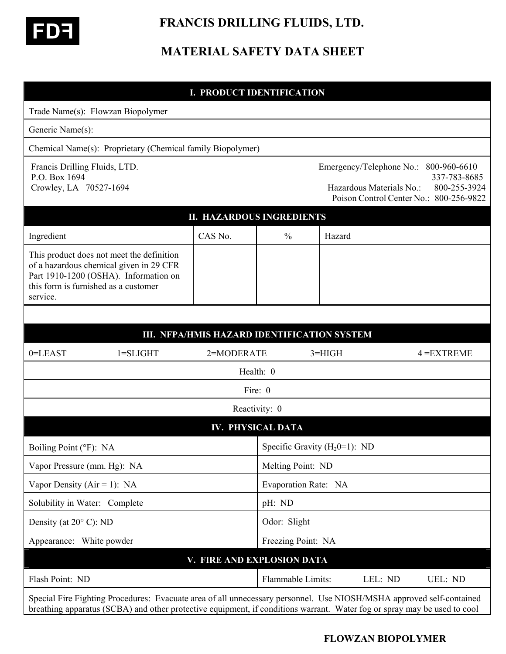

 **FRANCIS DRILLING FLUIDS, LTD.** 

# **MATERIAL SAFETY DATA SHEET**

#### **I. PRODUCT IDENTIFICATION**

| Trade Name(s): Flowzan Biopolymer                                                                                                                                                                                                                |                            |                                  |          |                          |                                                                                                                  |
|--------------------------------------------------------------------------------------------------------------------------------------------------------------------------------------------------------------------------------------------------|----------------------------|----------------------------------|----------|--------------------------|------------------------------------------------------------------------------------------------------------------|
| Generic Name(s):                                                                                                                                                                                                                                 |                            |                                  |          |                          |                                                                                                                  |
| Chemical Name(s): Proprietary (Chemical family Biopolymer)                                                                                                                                                                                       |                            |                                  |          |                          |                                                                                                                  |
| Francis Drilling Fluids, LTD.<br>P.O. Box 1694<br>Crowley, LA 70527-1694                                                                                                                                                                         |                            |                                  |          | Hazardous Materials No.: | Emergency/Telephone No.: 800-960-6610<br>337-783-8685<br>800-255-3924<br>Poison Control Center No.: 800-256-9822 |
| <b>II. HAZARDOUS INGREDIENTS</b>                                                                                                                                                                                                                 |                            |                                  |          |                          |                                                                                                                  |
| Ingredient                                                                                                                                                                                                                                       | CAS No.                    | $\frac{0}{0}$                    | Hazard   |                          |                                                                                                                  |
| This product does not meet the definition<br>of a hazardous chemical given in 29 CFR<br>Part 1910-1200 (OSHA). Information on<br>this form is furnished as a customer<br>service.                                                                |                            |                                  |          |                          |                                                                                                                  |
|                                                                                                                                                                                                                                                  |                            |                                  |          |                          |                                                                                                                  |
| III. NFPA/HMIS HAZARD IDENTIFICATION SYSTEM                                                                                                                                                                                                      |                            |                                  |          |                          |                                                                                                                  |
| 0=LEAST<br>$1 = SLIGHT$                                                                                                                                                                                                                          | 2=MODERATE                 |                                  | $3=HIGH$ |                          | $4 = EXTREME$                                                                                                    |
|                                                                                                                                                                                                                                                  |                            | Health: 0                        |          |                          |                                                                                                                  |
|                                                                                                                                                                                                                                                  |                            | Fire: 0                          |          |                          |                                                                                                                  |
|                                                                                                                                                                                                                                                  |                            | Reactivity: 0                    |          |                          |                                                                                                                  |
|                                                                                                                                                                                                                                                  |                            | <b>IV. PHYSICAL DATA</b>         |          |                          |                                                                                                                  |
| Boiling Point (°F): NA                                                                                                                                                                                                                           |                            | Specific Gravity $(H_20=1)$ : ND |          |                          |                                                                                                                  |
| Vapor Pressure (mm. Hg): NA                                                                                                                                                                                                                      |                            | Melting Point: ND                |          |                          |                                                                                                                  |
| Vapor Density ( $Air = 1$ ): NA                                                                                                                                                                                                                  |                            | Evaporation Rate: NA             |          |                          |                                                                                                                  |
| Solubility in Water: Complete                                                                                                                                                                                                                    |                            | pH: ND                           |          |                          |                                                                                                                  |
| Density (at $20^{\circ}$ C): ND                                                                                                                                                                                                                  |                            | Odor: Slight                     |          |                          |                                                                                                                  |
| Appearance: White powder                                                                                                                                                                                                                         |                            | Freezing Point: NA               |          |                          |                                                                                                                  |
|                                                                                                                                                                                                                                                  | V. FIRE AND EXPLOSION DATA |                                  |          |                          |                                                                                                                  |
| Flash Point: ND                                                                                                                                                                                                                                  |                            | Flammable Limits:                |          | LEL: ND                  | UEL: ND                                                                                                          |
| Special Fire Fighting Procedures: Evacuate area of all unnecessary personnel. Use NIOSH/MSHA approved self-contained<br>breathing apparatus (SCBA) and other protective equipment, if conditions warrant. Water fog or spray may be used to cool |                            |                                  |          |                          |                                                                                                                  |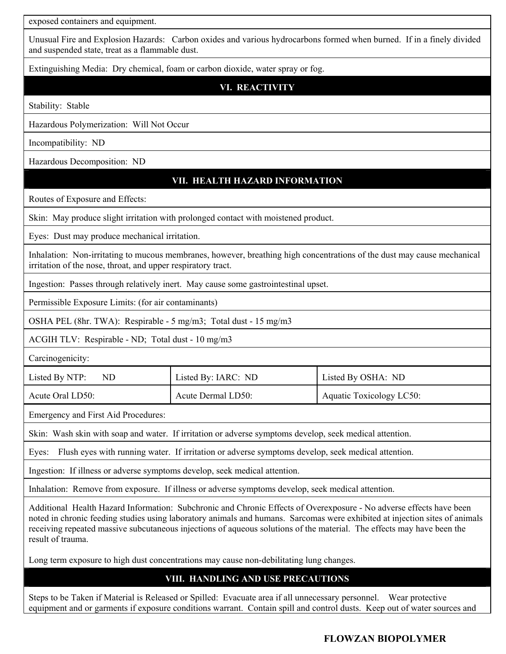exposed containers and equipment.

Unusual Fire and Explosion Hazards: Carbon oxides and various hydrocarbons formed when burned. If in a finely divided and suspended state, treat as a flammable dust.

Extinguishing Media: Dry chemical, foam or carbon dioxide, water spray or fog.

**VI. REACTIVITY**

Stability: Stable

Hazardous Polymerization: Will Not Occur

Incompatibility: ND

Hazardous Decomposition: ND

## **VII. HEALTH HAZARD INFORMATION**

Routes of Exposure and Effects:

Skin: May produce slight irritation with prolonged contact with moistened product.

Eyes: Dust may produce mechanical irritation.

Inhalation: Non-irritating to mucous membranes, however, breathing high concentrations of the dust may cause mechanical irritation of the nose, throat, and upper respiratory tract.

Ingestion: Passes through relatively inert. May cause some gastrointestinal upset.

Permissible Exposure Limits: (for air contaminants)

OSHA PEL (8hr. TWA): Respirable - 5 mg/m3; Total dust - 15 mg/m3

ACGIH TLV: Respirable - ND; Total dust - 10 mg/m3

Carcinogenicity:

| Listed By NTP:<br>ND | Listed By: IARC: ND | Listed By OSHA: ND              |
|----------------------|---------------------|---------------------------------|
| Acute Oral LD50:     | Acute Dermal LD50:  | <b>Aquatic Toxicology LC50:</b> |

Emergency and First Aid Procedures:

Skin: Wash skin with soap and water. If irritation or adverse symptoms develop, seek medical attention.

Eyes: Flush eyes with running water. If irritation or adverse symptoms develop, seek medical attention.

Ingestion: If illness or adverse symptoms develop, seek medical attention.

Inhalation: Remove from exposure. If illness or adverse symptoms develop, seek medical attention.

Additional Health Hazard Information: Subchronic and Chronic Effects of Overexposure - No adverse effects have been noted in chronic feeding studies using laboratory animals and humans. Sarcomas were exhibited at injection sites of animals receiving repeated massive subcutaneous injections of aqueous solutions of the material. The effects may have been the result of trauma.

Long term exposure to high dust concentrations may cause non-debilitating lung changes.

## **VIII. HANDLING AND USE PRECAUTIONS**

Steps to be Taken if Material is Released or Spilled: Evacuate area if all unnecessary personnel. Wear protective equipment and or garments if exposure conditions warrant. Contain spill and control dusts. Keep out of water sources and

**FLOWZAN BIOPOLYMER**